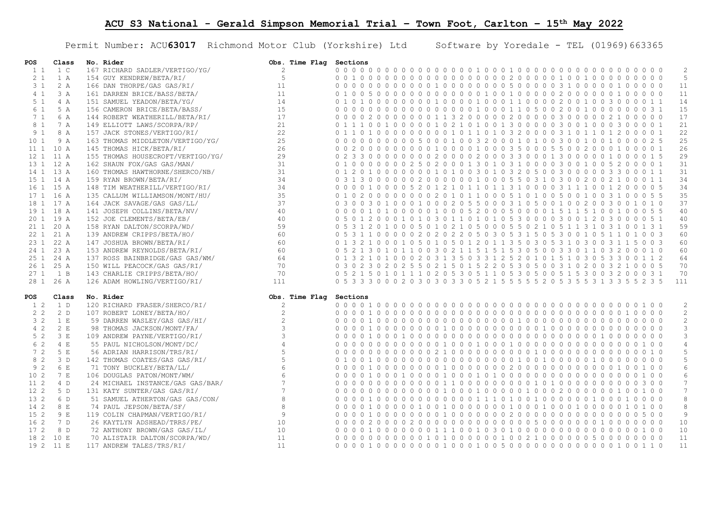Permit Number: ACU63017 Richmond Motor Club (Yorkshire) Ltd Software by Yoredale - TEL (01969)663365

| POS             | Class      | No. Rider                         | Obs. Time Flag Sections |                                                                                                                                                                                                                                                                   |
|-----------------|------------|-----------------------------------|-------------------------|-------------------------------------------------------------------------------------------------------------------------------------------------------------------------------------------------------------------------------------------------------------------|
| $1\quad1$       | 1 C        | 167 RICHARD SADLER/VERTIGO/YG/    | 2                       | 0 0 0 0 0 0 0 0 0 0 0 0 0 0 0 0 1 0 0 0 1 0 0 0 0 0 0 0 0 0 0 0 0 0 0 0 0 0 0 0<br>2                                                                                                                                                                              |
| 2 <sub>1</sub>  | 1 A        | 154 GUY KENDREW/BETA/RI/          | 5                       | - 5<br>$0\quad 0\quad 0\quad$<br>0 <sub>0</sub>                                                                                                                                                                                                                   |
| 3 <sub>1</sub>  | 2A         | 166 DAN THORPE/GAS GAS/RI/        | 11                      | 0000000000001000000005000003100000100000<br>11                                                                                                                                                                                                                    |
| 4 <sub>1</sub>  | 3A         | 161 DARREN BRICE/BASS/BETA/       | 11                      | 000000000010010000020000<br>11<br>0 <sub>1</sub><br>500<br>$\Omega$<br>$\Omega$<br>010<br>$\Omega$<br>$0\quad 0\quad 0\quad$                                                                                                                                      |
| 5 <sub>1</sub>  | 4A         | 151 SAMUEL YEADON/BETA/YG/        | 14                      | 14<br>0 1 0 1 0 0 0 0 0 0 0 1 0 0 0 0 1 0 0 0 0 1 1 0 0 0 0 2 0 0 1 0 0 3 0 0 0 0 1 1                                                                                                                                                                             |
| 6 1             | 5 A        | 156 CAMERON BRICE/BETA/BASS/      | 1.5                     | 15<br>0 <sub>0</sub><br>$00$ $00$<br>$\bigcap$<br>0000000001000011050020010<br>$\Omega$<br>$\Omega$<br>0 0 3 1                                                                                                                                                    |
| 7 <sub>1</sub>  | 6 A        | 144 ROBERT WEATHERILL/BETA/RI/    | 17                      | 0 0 0 0 2 0 0 0 0 0 0 0 1 1 3 2 0 0 0 0 0 2 0 0 0 0 0 3 0 0 0 0 0 2 1 0 0 0 0 0<br>17                                                                                                                                                                             |
| 8 1             | 7 A        | 149 ELLIOTT LAWS/SCORPA/RP/       | 21                      | 21<br>0 1 1 1<br>$\Omega$<br>0 <sub>0</sub><br>0010<br>210100130000030<br>010<br>$0 \quad 0 \quad 3 \quad 0$<br>001<br>$\Omega$<br>001                                                                                                                            |
| 9 <sub>1</sub>  | 8 A        | 157 JACK STONES/VERTIGO/RI/       | 22                      | 22<br>0 1 1 0 1 0 0 0 0 0 0 0 0 0 1 0 1 1 0 1 0 3 2 0 0 0 0 3 1 0 1 1 0 1 2 0 0 0 0 1                                                                                                                                                                             |
| 10 <sub>1</sub> | 9 A        | 163 THOMAS MIDDLETON/VERTIGO/YG/  | 25                      | 25<br>0 <sub>0</sub><br>0 0 0 0 0 0 5 0 0 0 1 0 0 3 2 0 0 0 1 0 1 0 0 3 0 0 1 0<br>01000025<br>$\bigcap$<br>$\Omega$                                                                                                                                              |
| 111             | 10 A       | 145 THOMAS HICK/BETA/RI/          | 26                      | 26<br>0 0 2 0 0 0 0 0 0 0 0 0 1 0 0 0 1 0 0 0 3 5 0 0 0 5 5 0 0 2 0 0 0 1 0 0 0 0 1                                                                                                                                                                               |
|                 | 12 1 11 A  | 155 THOMAS HOUSECROFT/VERTIGO/YG/ | 29                      | 0020000200033000130000<br>29<br>0 2 3 3 0 0<br>$\bigcirc$<br>$\Omega$<br>0 <sub>0</sub><br>01000015                                                                                                                                                               |
|                 | 13 1 12 A  | 162 SHAUN FOX/GAS GAS/MAN/        | 31                      | 31<br>0 1 0 0 0 0 0 0 0 2 5 0 2 0 0 0 1 3 0 1 0 3 1 0 0 0 0 3 0 0 1 0 0 5 2 0 0 0 0 1                                                                                                                                                                             |
|                 | 14 1 13 A  | 160 THOMAS HAWTHORNE/SHERCO/NB/   | 31                      | 31<br>$0 \t1 \t2$<br>0 0 0 0 1 0 1 0 0 3 0 1 0 3 2 0 5 0 0 3 0 0 0 0<br>$0100$<br>$\Omega$<br>0 3 3 0 0 0 1 1                                                                                                                                                     |
|                 | 15 1 14 A  | 159 RYAN BROWN/BETA/RI/           | 34                      | 0 3 1 3 0 0 0 0 0 0 2 0 0 0 0 0 0 1 0 0 0 5 5 0 3 1 0 3 0 0 2 0 0 2 1 0 0 0 1 1<br>34                                                                                                                                                                             |
|                 | 16 1 15 A  | 148 TIM WEATHERILL/VERTIGO/RI/    | 34                      | 34<br>0 <sub>0</sub><br>$0 1 0 0$<br>0 0 5 2 0 1 2 1 0 1 1 0 1 1 3 1 0 0 0 0 3 1 1 1 0<br>01200005<br>$\Omega$                                                                                                                                                    |
|                 | 17 1 16 A  | 135 CALLUM WILLIAMSON/MONT/HU/    | 35                      | 35<br>0 1 0 2 0 0 0 0 0 0 0 0 2 0 1 0 1 1 0 0 0 5 1 0 1 0 0 5 0 0 1 0 0 3 1 0 0 0 5 5                                                                                                                                                                             |
|                 | 18 1 17 A  | 164 JACK SAVAGE/GAS GAS/LL/       | 37                      | 37<br>0 <sup>3</sup><br>0 0 1 0 0 0 2 0 5 5 0 0 0 3 1 0 5 0 0 1 0 0 2 0<br>$\bigcap$<br>03001010                                                                                                                                                                  |
|                 | 19 1 18 A  | 141 JOSEPH COLLINS/BETA/NV/       | 40                      | 0 0 0 0 1 0 1 0 0 0 0 0 1 0 0 0 5 2 0 0 0 5 0 0 0 0 1 5 1 1 5 1 0 0 1 0 0 0 5 5<br>40                                                                                                                                                                             |
|                 | 20 1 19 A  | 152 JOE CLEMENTS/BETA/EB/         | 40                      | -5<br>3 0 0<br>40<br>0,5<br>200<br>$\Omega$<br>$\cap$<br>$\overline{1}$<br>0, 3, 0<br>$\overline{1}$<br>0 1 0 1 0<br>$0 \quad 0 \quad 3 \quad 0$<br>$\Omega$<br>$1 \t2$<br>$\Omega$<br>30<br>0.51<br>$\mathbf{1}$<br>$\overline{1}$<br>$\Omega$                   |
|                 | 21 1 20 A  | 158 RYAN DALTON/SCORPA/WD/        | 59                      | 59<br>0 5 3 1 2 0 1 0 0 0 5 0 1 0 2 1 0 5 0 0 0 5 5 0 2 1 0 5 1 1 3 1 0 3 1 0 0 1 3 1                                                                                                                                                                             |
|                 | 22 1 21 A  | 139 ANDREW CRIPPS/BETA/HO/        | 60                      | 60<br>0.5<br>$\bigcap$<br>002020220503053150530<br>1 0 0 3<br>3 1 1 0 0<br>$\cap$<br>$1\quad \Omega$<br>5 1 1 0                                                                                                                                                   |
|                 | 23 1 22 A  | 147 JOSHUA BROWN/BETA/RI/         | 60                      | 0 1 3 2 1 0 0 0 1 0 5 0 1 0 5 0 1 2 0 1 1 3 5 0 3 0 5 3 1 0 3 0 0 3 1 1 5 0 0 3<br>60                                                                                                                                                                             |
|                 | 24 1 23 A  | 153 ANDREW REYNOLDS/BETA/RI/      | 60                      | 2 1 1 5 1 5 1 5 3 0 5 0 0 3<br>3 2 0 0 0 1 0<br>60<br>0 5 2 1 3 0 1<br>$\Omega$<br>$1 \quad 1$<br>$0 \quad 0 \quad 3 \quad 0$<br>-3<br>$\Omega$<br>$\Omega$<br>$\mathbf{1}$                                                                                       |
|                 | 25 1 24 A  | 137 ROSS BAINBRIDGE/GAS GAS/WM/   | 64                      | 0 1 3 2 1 0 1 0 0 0 2 0 3 1 3 5 0 3 3 1 2 5 2 0 1 0 1 5 1 0 3 0 5 3 3 0 0 1 1 2<br>64                                                                                                                                                                             |
| 26 1            | 25 A       | 150 WILL PEACOCK/GAS GAS/RI/      | 70                      | 0 3 0 2 3 0 2 0 2 5 5 0 2 1 5 0 1 5 2 2 0 5 3 0 5 0 0 3 1 0 2 0<br>70<br>0 3 2 1 0 0 0 5                                                                                                                                                                          |
| 27 <sub>1</sub> | 1 B        | 143 CHARLIE CRIPPS/BETA/HO/       | 70                      | 0 5 2 1 5 0 1 0 1 1 1 0 2 0 5 3 0 5 1 1 0 5 3 0 5 0 0 5 1 5 3 0 0 3 2 0 0 0 3 1<br>70                                                                                                                                                                             |
|                 | 28 1 26 A  | 126 ADAM HOWLING/VERTIGO/RI/      | 111                     | 0 5 3 3 3 0 0 0 2 0 3 0 3 0 3 3 0 5 2 1 5 5 5 5 5 2 0 5 3 5 5 3 1 3 3 5 5 2 3 5<br>111                                                                                                                                                                            |
| POS             | Class      | No. Rider                         | Obs. Time Flaq          | Sections                                                                                                                                                                                                                                                          |
| 1 2             | 1 D        | 120 RICHARD FRASER/SHERCO/RI/     | $\overline{c}$          | $\overline{c}$                                                                                                                                                                                                                                                    |
| 2 <sub>2</sub>  | 2 D        | 107 ROBERT LONEY/BETA/HO/         | $\mathbf{2}$            | 2<br>$00$ 0<br>00000000000<br>$00$ 0<br>0 <sub>0</sub><br>$0 1 0 0$<br>$\Omega$<br>0 <sub>0</sub><br>$\Omega$<br>0 <sub>0</sub><br>$\Omega$<br>$\Omega$<br>$\Omega$<br>$\cap$<br>$\cap$<br>$\cap$<br>0 <sub>0</sub>                                               |
| 3 <sub>2</sub>  | 1 E        | 59 DARREN WASLEY/GAS GAS/HI/      | $\overline{c}$          | 2<br>0000100000000000000000100000<br>$0\quad 0\quad 0\quad 0$<br>0 <sub>0</sub>                                                                                                                                                                                   |
| $4\quad2$       | 2 E        | 98 THOMAS JACKSON/MONT/FA/        | 3                       | $\mathbf{3}$<br>00000100000000000100<br>1000<br>$\Omega$<br>$\Omega$<br>$\Omega$<br>$\bigcirc$<br>0 <sub>0</sub>                                                                                                                                                  |
| 5 <sub>2</sub>  | 3 E        | 109 ANDREW PAYNE/VERTIGO/RI/      | $\mathbf{3}$            | 0100010000000000000000000<br>$0\quad 0\quad 0\quad 0$<br>3                                                                                                                                                                                                        |
| 6 2             | 4E         | 55 PAUL NICHOLSON/MONT/DC/        | $\overline{4}$          | $\overline{4}$<br>$\bigcap$<br>0 <sub>0</sub><br>$00$ 0<br>$\bigcap$<br>$0 \quad 0 \quad 1 \quad 0$<br>$1 \Omega$<br>$\Omega$<br>$\bigcap$<br>$\bigcap$<br>0 <sub>0</sub><br>$\overline{1}$<br>0 <sub>0</sub><br>0 <sub>0</sub><br>$\cap$<br>$\Omega$<br>$\Omega$ |
| 72              | 5 F        | 56 ADRIAN HARRISON/TRS/RI/        | 5                       | 5<br>$\bigcap$<br>000002100000000001000<br>$\bigcap$<br>0 <sub>0</sub><br>$\bigcap$                                                                                                                                                                               |
| 8 2             | 3D         | 142 THOMAS COATES/GAS GAS/RI/     | 5                       | 5<br>100000000000000000100100<br>$\bigcirc$<br>$\Omega$<br>$\Omega$<br>0 <sub>0</sub>                                                                                                                                                                             |
| 92              | 6 E        | 71 TONY BUCKLEY/BETA/LL/          | $6\overline{6}$         | 6                                                                                                                                                                                                                                                                 |
| 10 <sub>2</sub> | 7 F        | 106 DOUGLAS PATON/MONT/WM/        | $6\overline{6}$         | 6<br>0 <sub>0</sub><br>$\Omega$<br>10000100010100000000<br>$00$ 0<br>0 <sub>0</sub><br>0 <sub>0</sub><br>$0 1 0 0$<br>$\Omega$                                                                                                                                    |
| 112             | $4\quad D$ | 24 MICHAEL INSTANCE/GAS GAS/BAR/  | $\overline{7}$          | $7\phantom{.0}$<br>0 <sub>0</sub>                                                                                                                                                                                                                                 |
| 12 2            | 5 D        | 131 KATY SUNTER/GAS GAS/RI/       | $\overline{7}$          | $7\overline{ }$<br>0 <sub>0</sub><br>$\Omega$<br>0000010<br>$0\quad 0\quad 0\quad 0$<br>0010000010<br>$0 \quad 0 \quad 2 \quad 0$<br>$\Omega$<br>$\Omega$<br>$\Omega$<br>0 <sub>0</sub>                                                                           |
| 13 2            | 6 D        | 51 SAMUEL ATHERTON/GAS GAS/CON/   | 8                       | 8<br>0000000<br>00011101001000<br>$0\quad 0\quad 0$<br>$0 1 0 0$                                                                                                                                                                                                  |
| 14 2            | 8 E        | 74 PAUL JEPSON/BETA/SF/           | $\,8\,$                 | 8<br>0 <sub>0</sub><br>$\bigcap$<br>$\Omega$<br>$\Omega$<br>$\bigcap$<br>1 0 0<br>$\overline{1}$<br>$\Omega$<br>$0\quad 0\quad 0\quad 0\quad 0\quad 0$<br>1000<br>$1 \cap Q$<br>$\bigcap$<br>$\Omega$<br>$\bigcap$<br>0 <sub>0</sub>                              |
| 152             | 9 F.       | 119 COLIN CHAPMAN/VERTIGO/RI/     | $\overline{9}$          | 9<br>0000100<br>00000100000002000000<br>0 <sub>0</sub><br>$\bigcap$<br>$\bigcap$                                                                                                                                                                                  |
| 16 2            | 7 D        | 26 KAYTLYN ADSHEAD/TRRS/PE/       | 10                      | 10<br>0 <sub>0</sub><br>100<br>$00$ 0                                                                                                                                                                                                                             |
| 17 2            | 8 D        | 72 ANTHONY BROWN/GAS GAS/IL/      | 10                      | 0000100000001110010301000000000000000100<br>10                                                                                                                                                                                                                    |
| 18 2            | 10 E       | 70 ALISTAIR DALTON/SCORPA/WD/     | 11                      | 11                                                                                                                                                                                                                                                                |
|                 | 19 2 11 E  | 117 ANDREW TALES/TRS/RI/          | 11                      | 0000100000001000100500000000000000100110<br>11                                                                                                                                                                                                                    |
|                 |            |                                   |                         |                                                                                                                                                                                                                                                                   |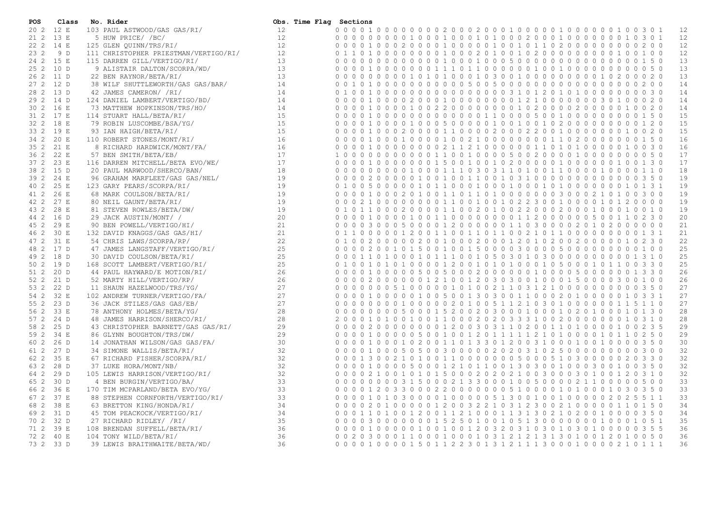| 12<br>202<br>12 E<br>103 PAUL ASTWOOD/GAS GAS/RI/<br>12<br>12<br>13 E<br>5 HUW PRICE/ /BC/<br>0000000001000100010100020001000000010<br>12<br>21 2<br>3 0 1<br>12<br>22 2 14 E<br>125 GLEN OUINN/TRS/RI/<br>12<br>12<br>23 2<br>9 D<br>111 CHRISTOPHER PRIESTMAN/VERTIGO/RI/<br>12<br>011010000<br>$0 1 0 0$<br>13<br>24 2 15 E<br>115 DARREN GILL/VERTIGO/RI/<br>000000000001000100050000000000000000150<br>13<br>0 <sub>0</sub><br>13<br>25 2 10 D<br>01100000010010<br>13<br>9 ALISTAIR DALTON/SCORPA/WD/<br>$\Omega$<br>$\Omega$<br>$\Omega$<br>0001<br>$\overline{1}$<br>$\overline{1}$<br>$0\quad 0\quad 0\quad 0$<br>13<br>26 2 11 D<br>22 BEN RAYNOR/BETA/RI/<br>13<br>27 2 12 D<br>14<br>101000000000005005000000000000000000200<br>14<br>38 WILF SHUTTLEWORTH/GAS GAS/BAR/<br>0 <sub>0</sub><br>28 2 13 D<br>42 JAMES CAMERON/ /RI/<br>14<br>000000000000310120101000<br>14<br>0 <sub>1</sub><br>001000<br>$\Omega$<br>$\Omega$<br>30<br>14<br>29 2 14 D<br>124 DANIEL LAMBERT/VERTIGO/BD/<br>14<br>30 2 16 E<br>14<br>73 MATTHEW HOPKINSON/TRS/HO/<br>0 <sub>0</sub><br>14<br>15<br>114 STUART HALL/BETA/RI/<br>000000000110000500100<br>31 2 17 E<br>0 <sub>0</sub><br>010000<br>$0\quad0\quad0$<br>$0\quad 0\quad 0\quad 0$<br>15<br>15<br>32 2 18 E<br>79 ROBIN LUSCOMBE/BSA/YG/<br>15<br>0 <sub>0</sub><br>33 2 19 E<br>15<br>15<br>93 IAN HAIGH/BETA/RI/<br>0 <sub>0</sub><br>20 E<br>16<br>34 2<br>110 ROBERT STONES/MONT/RI/<br>0 <sub>0</sub><br>16<br>16<br>35 <sub>2</sub><br>21 E<br>16<br>8 RICHARD HARDWICK/MONT/FA/<br>0 <sub>0</sub><br>17<br>36 2<br>22 E<br>57 BEN SMITH/BETA/EB/<br>0 0 0 1 1 0 0 1 0 0 0 0 5 0 0 2 0 0 0 0 1 0 0 0<br>17<br>$1\quad$ 0<br>$\Omega$<br>0 <sub>0</sub><br>$\Omega$<br>0000050<br>23 E<br>17<br>17<br>37 2<br>116 DARREN MITCHELL/BETA EVO/WE/<br>0 <sub>0</sub><br>15 D<br>18<br>000000001000111030311010011000010000110<br>18<br>38 2<br>20 PAUL MARWOOD/SHERCO/BAN/<br>19<br>39 2<br>24 E<br>96 GRAHAM MARFLEET/GAS GAS/NEL/<br>0100100110010310000000000000350<br>19<br>0 <sub>0</sub><br>$0\quad 0\quad 2\quad 0\quad 0\quad 0$<br>$\Omega$<br>19<br>0101100010001000101000000010<br>40 2<br>25 E<br>123 GARY PEARS/SCORPA/RI/<br>19<br>$\begin{array}{ccccccccc}\n0 & 0 & 0 & 0\n\end{array}$<br>26 E<br>19<br>19<br>41 2<br>68 MARK COULSON/BETA/RI/<br>19<br>27 E<br>0000110010010223001000010120000<br>19<br>42 2<br>80 NEIL GAUNT/BETA/RI/<br>0 <sub>0</sub><br>021000<br>$\Omega$<br>19<br>19<br>43 2<br>28 E<br>81 STEVEN ROWLES/BETA/DW/<br>0 1 0 1 1 0 0 0 2 0 0 0 0 1 1 0 0 2 0 1 0 0 2 2 0 0 0 2 0 0 0 1 0 0 0 1 0 0 1 0<br>20<br>1001100000000112000000500110<br>20<br>44 2<br>16 D<br>29 JACK AUSTIN/MONT/ /<br>0010000<br>21<br>29 E<br>0000300050000120000001103000020102000000<br>21<br>45 2<br>90 BEN POWELL/VERTIGO/HI/<br>21<br>21<br>46 2<br>30 E<br>132 DAVID KNAGGS/GAS GAS/HI/<br>22<br>31 E<br>22<br>47 2<br>54 CHRIS LAWS/SCORPA/RP/<br>$0-1$<br>0 2 0 0 1 0 0 0 2 0 0 0 1 2 0 1 0 2 0 0 2<br>$\Omega$<br>$0 \quad 0 \quad 2 \quad 0$<br>$\bigcap$<br>$\cap$<br>$\Omega$<br>$\Omega$<br>$\Omega$<br>0010<br>30<br>-2.<br>25<br>25<br>17 D<br>47 JAMES LANGSTAFF/VERTIGO/RI/<br>48 2<br>$1 \quad 0 \quad 0$<br>25<br>25<br>0 1 1 0 1 0 0 0 1 0 1 1 1 0 0 1 0 5 0 3 0 1 0 3 0 0 0 0 0 0 0 0 0 0 1 3 1 0<br>18 D<br>30 DAVID COULSON/BETA/RI/<br>49 2<br>25<br>19 D<br>25<br>50 2<br>168 SCOTT LAMBERT/VERTIGO/RI/<br>0 <sub>1</sub><br>1100<br>330<br>26<br>20 D<br>26<br>51 2<br>44 PAUL HAYWARD/E MOTION/RI/<br>0 <sub>0</sub><br>$0\quad0\quad0$<br>0 5 0 0 5 0 0 0 2 0 0 0 0 0 0 1 0 0 0 0 5 0 0 0<br>0001<br>0010<br>26<br>21 D<br>52 MARTY HILL/VERTIGO/RP/<br>0 0 2 0 0 0 0 0 0 1 2 1 0 0 1 2 0 3 0 3 0 0 1 0 0 0 1 5 0 0 0 0 3 0 0<br>26<br>52 2<br>0 <sub>0</sub><br>100<br>27<br>27<br>53 2<br>22 D<br>11 SHAUN HAZELWOOD/TRS/YG/<br>00000510000010100211031210000000000<br>350<br>27<br>32 E<br>27<br>54 2<br>102 ANDREW TURNER/VERTIGO/FA/<br>0 <sub>0</sub><br>0 0 1 0 0 0 0<br>0100500130300110002010000010331<br>27<br>27<br>23 D<br>0 2 0 1 0 0 5 1 1 2 1 0 3 0 1 0 0 0 0 0<br>55 2<br>36 JACK STILES/GAS GAS/EB/<br>$\Omega$<br>$\Omega$<br>$0\quad 0\quad 0\quad 0$<br>011<br>$1\quad1\quad0$<br>$\Omega$<br>$\overline{1}$<br>28<br>28<br>56 2<br>33 E<br>78 ANTHONY HOLMES/BETA/YG/<br>0 0 0 0 0 0 0 0 5 0 0 0 1 5 2 0 0 2 0 3 0 0 0 1 0 0 0 1 0 2 0 1 0 0 0 1 0 1 3 0<br>28<br>0 0 1 0 1 0 0 1 0 0 1 1 0 0 0 2 0 2 0 3 3 3 1 0 0 2 0 0 0 0 0 0 0 1 0 3 1 0<br>28<br>57 2<br>24 D<br>48 JAMES HARRISON/SHERCO/RI/<br>$2\quad0$<br>29<br>25 D<br>29<br>58 2<br>43 CHRISTOPHER BARNETT/GAS GAS/RI/<br>0 <sub>0</sub><br>$\circ$<br>0 0 0 0 1 2 0 0 3 0 3 1 1 0 2 0 0 1 1 0 1 0 0 0<br>0 1 0 0 2 3 5<br>$0\quad 0\quad 2\quad 0\quad 0\quad 0$<br>29<br>29<br>34 E<br>86 GLYNN BOUGHTON/TRS/DW/<br>59 2<br>0010000<br>26 D<br>30<br>0 0 1 0 0 0 1 0 2 0 0 1 1 0 1 3 3 0 1 2 0 0 3 1 0 0 0 1 0 0 1 0 0 0 0 3 5 0<br>30<br>60 2<br>14 JONATHAN WILSON/GAS GAS/FA/<br>0 <sub>0</sub><br>32<br>27 D<br>0 0 1 0 0 0 5 0 5 0 0 3 0 0 0 0 0 2 0 2 0 3 1 0 2 5 0 0 0 0 0 0 0 0 0 0<br>32<br>61 2<br>34 SIMONE WALLIS/BETA/RI/<br>0 <sub>0</sub><br>3 0 0<br>32<br>32<br>62 2<br>35 E<br>67 RICHARD FISHER/SCORPA/RI/<br>0 1 3 0 0 2 1 0 1 0 0 1 1 0 0 0 0 0 0 0 5 0 0 0 5 1 0 3 0 0 0 0 0 2 0<br>0 <sub>0</sub><br>32<br>28 D<br>1 2 1 0 1 1 0 0 1 3 0 3 0 0 1 0 0 0<br>32<br>37 LUKE HORA/MONT/NB/<br>5000<br>3 0 0 1 0 0<br>63 2<br>$\Omega$<br>0 <sub>0</sub><br>32<br>29 D<br>32<br>64 2<br>105 LEWIS HARRISON/VERTIGO/RI/<br>0 <sub>0</sub><br>0 0 2 1 0 0 1 0 1 0 1 5 0 0 0 2 0 2 0 2 1 0 0 3 0 0 0 3 0 1 0 0 1 2 0 3 1 0<br>33<br>33<br>30 D<br>0 0 0 0 0 0 3 1 5 0 0 0 2 1 3 3 0 0 0 1 0 0 5 0 0 0 0 2 1 1 0 0 0 0 0 5 0 0<br>65 2<br>4 BEN BURGIN/VERTIGO/BA/<br>0 <sub>0</sub><br>33<br>33<br>66 2<br>36 E<br>3300022000000051000010<br>170 TIM MCPARLAND/BETA EVO/YG/<br>0 <sub>0</sub><br>20<br>1000<br>1 0 3 0<br>50<br>33<br>37 E<br>33<br>67 2<br>88 STEPHEN CORNFORTH/VERTIGO/RI/<br>0 0 1 0 1 0 3 0 0 0 0 1 0 0 0 0 0 5 1 3 0 0 1 0 0 1 0 0 0 0 0 2 0 2 5 5<br>0 <sub>0</sub><br>34<br>34<br>68 2<br>38 E<br>0 0 2 0 1 0 0 0 0 0 1 2 0 0 3 2 2 1 0 3 1 2 3 0 0 2 1 0 0 0 0 0 1 1 0 1 5 0<br>63 BRETTON KING/HONDA/RI/<br>0 <sub>0</sub><br>34<br>31 D<br>21000113130210<br>34<br>69 2<br>45 TOM PEACKOCK/VERTIGO/RI/<br>0 <sub>0</sub><br>1 1 0 1<br>$\Omega$<br>$\Omega$<br>1 2 0 0<br>$\overline{1}$<br>$\overline{1}$<br>20<br>$\Omega$<br>$\overline{1}$<br>$0\quad 0\quad 0\quad 0$<br>350<br>35<br>32 D<br>0 0 3 0 0 0 0 0 0 0 1 5 2 5 0 1 0 0 1 0 5 1 3 0 0 0 0 0 0 0 1 0 0 0 1 0<br>35<br>70 2<br>27 RICHARD RIDLEY/ /RI/<br>0 <sub>0</sub><br>5 1<br>36<br>71 2<br>39 E<br>0 0 1 0 0 0 0 0 1 0 0 1 0 0 1 2 0 3 2 0 3 1 0 3 0 1 0 3 0 1 0 0 0 0 0 3 5 5<br>36<br>108 BRENDAN SUFFELL/BETA/RI/<br>0 <sub>0</sub><br>36<br>0 0 2 0 3 0 0 0 1 1 0 0 0 1 0 0 0 1 0 3 1 2 1 2 1 3 1 3 0 1 0 0 1 2 0 1 0 0 5 0<br>36<br>72 2 40 E<br>104 TONY WILD/BETA/RI/<br>36<br>36<br>73 2 33 D<br>39 LEWIS BRAITHWAITE/BETA/WD/ | <b>POS</b> | Class | No. Rider | Obs. Time Flag Sections |                                                                                 |  |
|-----------------------------------------------------------------------------------------------------------------------------------------------------------------------------------------------------------------------------------------------------------------------------------------------------------------------------------------------------------------------------------------------------------------------------------------------------------------------------------------------------------------------------------------------------------------------------------------------------------------------------------------------------------------------------------------------------------------------------------------------------------------------------------------------------------------------------------------------------------------------------------------------------------------------------------------------------------------------------------------------------------------------------------------------------------------------------------------------------------------------------------------------------------------------------------------------------------------------------------------------------------------------------------------------------------------------------------------------------------------------------------------------------------------------------------------------------------------------------------------------------------------------------------------------------------------------------------------------------------------------------------------------------------------------------------------------------------------------------------------------------------------------------------------------------------------------------------------------------------------------------------------------------------------------------------------------------------------------------------------------------------------------------------------------------------------------------------------------------------------------------------------------------------------------------------------------------------------------------------------------------------------------------------------------------------------------------------------------------------------------------------------------------------------------------------------------------------------------------------------------------------------------------------------------------------------------------------------------------------------------------------------------------------------------------------------------------------------------------------------------------------------------------------------------------------------------------------------------------------------------------------------------------------------------------------------------------------------------------------------------------------------------------------------------------------------------------------------------------------------------------------------------------------------------------------------------------------------------------------------------------------------------------------------------------------------------------------------------------------------------------------------------------------------------------------------------------------------------------------------------------------------------------------------------------------------------------------------------------------------------------------------------------------------------------------------------------------------------------------------------------------------------------------------------------------------------------------------------------------------------------------------------------------------------------------------------------------------------------------------------------------------------------------------------------------------------------------------------------------------------------------------------------------------------------------------------------------------------------------------------------------------------------------------------------------------------------------------------------------------------------------------------------------------------------------------------------------------------------------------------------------------------------------------------------------------------------------------------------------------------------------------------------------------------------------------------------------------------------------------------------------------------------------------------------------------------------------------------------------------------------------------------------------------------------------------------------------------------------------------------------------------------------------------------------------------------------------------------------------------------------------------------------------------------------------------------------------------------------------------------------------------------------------------------------------------------------------------------------------------------------------------------------------------------------------------------------------------------------------------------------------------------------------------------------------------------------------------------------------------------------------------------------------------------------------------------------------------------------------------------------------------------------------------------------------------------------------------------------------------------------------------------------------------------------------------------------------------------------------------------------------------------------------------------------------------------------------------------------------------------------------------------------------------------------------------------------------------------------------------------------------------------------------------------------------------------------------------------------------------------------------------------------------------------------------------------------------------------------------------------------------------------------------------------------------------------------------------------------------------------------------------------------------------------------------------------------------------------------------------------------------------------------------------------------------------------------------------------------------------------------------------------------------------------------------------------------------------------------------------------------------------------------------------|------------|-------|-----------|-------------------------|---------------------------------------------------------------------------------|--|
|                                                                                                                                                                                                                                                                                                                                                                                                                                                                                                                                                                                                                                                                                                                                                                                                                                                                                                                                                                                                                                                                                                                                                                                                                                                                                                                                                                                                                                                                                                                                                                                                                                                                                                                                                                                                                                                                                                                                                                                                                                                                                                                                                                                                                                                                                                                                                                                                                                                                                                                                                                                                                                                                                                                                                                                                                                                                                                                                                                                                                                                                                                                                                                                                                                                                                                                                                                                                                                                                                                                                                                                                                                                                                                                                                                                                                                                                                                                                                                                                                                                                                                                                                                                                                                                                                                                                                                                                                                                                                                                                                                                                                                                                                                                                                                                                                                                                                                                                                                                                                                                                                                                                                                                                                                                                                                                                                                                                                                                                                                                                                                                                                                                                                                                                                                                                                                                                                                                                                                                                                                                                                                                                                                                                                                                                                                                                                                                                                                                                                                                                                                                                                                                                                                                                                                                                                                                                                                                                                                                                                                         |            |       |           |                         |                                                                                 |  |
|                                                                                                                                                                                                                                                                                                                                                                                                                                                                                                                                                                                                                                                                                                                                                                                                                                                                                                                                                                                                                                                                                                                                                                                                                                                                                                                                                                                                                                                                                                                                                                                                                                                                                                                                                                                                                                                                                                                                                                                                                                                                                                                                                                                                                                                                                                                                                                                                                                                                                                                                                                                                                                                                                                                                                                                                                                                                                                                                                                                                                                                                                                                                                                                                                                                                                                                                                                                                                                                                                                                                                                                                                                                                                                                                                                                                                                                                                                                                                                                                                                                                                                                                                                                                                                                                                                                                                                                                                                                                                                                                                                                                                                                                                                                                                                                                                                                                                                                                                                                                                                                                                                                                                                                                                                                                                                                                                                                                                                                                                                                                                                                                                                                                                                                                                                                                                                                                                                                                                                                                                                                                                                                                                                                                                                                                                                                                                                                                                                                                                                                                                                                                                                                                                                                                                                                                                                                                                                                                                                                                                                         |            |       |           |                         |                                                                                 |  |
|                                                                                                                                                                                                                                                                                                                                                                                                                                                                                                                                                                                                                                                                                                                                                                                                                                                                                                                                                                                                                                                                                                                                                                                                                                                                                                                                                                                                                                                                                                                                                                                                                                                                                                                                                                                                                                                                                                                                                                                                                                                                                                                                                                                                                                                                                                                                                                                                                                                                                                                                                                                                                                                                                                                                                                                                                                                                                                                                                                                                                                                                                                                                                                                                                                                                                                                                                                                                                                                                                                                                                                                                                                                                                                                                                                                                                                                                                                                                                                                                                                                                                                                                                                                                                                                                                                                                                                                                                                                                                                                                                                                                                                                                                                                                                                                                                                                                                                                                                                                                                                                                                                                                                                                                                                                                                                                                                                                                                                                                                                                                                                                                                                                                                                                                                                                                                                                                                                                                                                                                                                                                                                                                                                                                                                                                                                                                                                                                                                                                                                                                                                                                                                                                                                                                                                                                                                                                                                                                                                                                                                         |            |       |           |                         |                                                                                 |  |
|                                                                                                                                                                                                                                                                                                                                                                                                                                                                                                                                                                                                                                                                                                                                                                                                                                                                                                                                                                                                                                                                                                                                                                                                                                                                                                                                                                                                                                                                                                                                                                                                                                                                                                                                                                                                                                                                                                                                                                                                                                                                                                                                                                                                                                                                                                                                                                                                                                                                                                                                                                                                                                                                                                                                                                                                                                                                                                                                                                                                                                                                                                                                                                                                                                                                                                                                                                                                                                                                                                                                                                                                                                                                                                                                                                                                                                                                                                                                                                                                                                                                                                                                                                                                                                                                                                                                                                                                                                                                                                                                                                                                                                                                                                                                                                                                                                                                                                                                                                                                                                                                                                                                                                                                                                                                                                                                                                                                                                                                                                                                                                                                                                                                                                                                                                                                                                                                                                                                                                                                                                                                                                                                                                                                                                                                                                                                                                                                                                                                                                                                                                                                                                                                                                                                                                                                                                                                                                                                                                                                                                         |            |       |           |                         |                                                                                 |  |
|                                                                                                                                                                                                                                                                                                                                                                                                                                                                                                                                                                                                                                                                                                                                                                                                                                                                                                                                                                                                                                                                                                                                                                                                                                                                                                                                                                                                                                                                                                                                                                                                                                                                                                                                                                                                                                                                                                                                                                                                                                                                                                                                                                                                                                                                                                                                                                                                                                                                                                                                                                                                                                                                                                                                                                                                                                                                                                                                                                                                                                                                                                                                                                                                                                                                                                                                                                                                                                                                                                                                                                                                                                                                                                                                                                                                                                                                                                                                                                                                                                                                                                                                                                                                                                                                                                                                                                                                                                                                                                                                                                                                                                                                                                                                                                                                                                                                                                                                                                                                                                                                                                                                                                                                                                                                                                                                                                                                                                                                                                                                                                                                                                                                                                                                                                                                                                                                                                                                                                                                                                                                                                                                                                                                                                                                                                                                                                                                                                                                                                                                                                                                                                                                                                                                                                                                                                                                                                                                                                                                                                         |            |       |           |                         |                                                                                 |  |
|                                                                                                                                                                                                                                                                                                                                                                                                                                                                                                                                                                                                                                                                                                                                                                                                                                                                                                                                                                                                                                                                                                                                                                                                                                                                                                                                                                                                                                                                                                                                                                                                                                                                                                                                                                                                                                                                                                                                                                                                                                                                                                                                                                                                                                                                                                                                                                                                                                                                                                                                                                                                                                                                                                                                                                                                                                                                                                                                                                                                                                                                                                                                                                                                                                                                                                                                                                                                                                                                                                                                                                                                                                                                                                                                                                                                                                                                                                                                                                                                                                                                                                                                                                                                                                                                                                                                                                                                                                                                                                                                                                                                                                                                                                                                                                                                                                                                                                                                                                                                                                                                                                                                                                                                                                                                                                                                                                                                                                                                                                                                                                                                                                                                                                                                                                                                                                                                                                                                                                                                                                                                                                                                                                                                                                                                                                                                                                                                                                                                                                                                                                                                                                                                                                                                                                                                                                                                                                                                                                                                                                         |            |       |           |                         |                                                                                 |  |
|                                                                                                                                                                                                                                                                                                                                                                                                                                                                                                                                                                                                                                                                                                                                                                                                                                                                                                                                                                                                                                                                                                                                                                                                                                                                                                                                                                                                                                                                                                                                                                                                                                                                                                                                                                                                                                                                                                                                                                                                                                                                                                                                                                                                                                                                                                                                                                                                                                                                                                                                                                                                                                                                                                                                                                                                                                                                                                                                                                                                                                                                                                                                                                                                                                                                                                                                                                                                                                                                                                                                                                                                                                                                                                                                                                                                                                                                                                                                                                                                                                                                                                                                                                                                                                                                                                                                                                                                                                                                                                                                                                                                                                                                                                                                                                                                                                                                                                                                                                                                                                                                                                                                                                                                                                                                                                                                                                                                                                                                                                                                                                                                                                                                                                                                                                                                                                                                                                                                                                                                                                                                                                                                                                                                                                                                                                                                                                                                                                                                                                                                                                                                                                                                                                                                                                                                                                                                                                                                                                                                                                         |            |       |           |                         |                                                                                 |  |
|                                                                                                                                                                                                                                                                                                                                                                                                                                                                                                                                                                                                                                                                                                                                                                                                                                                                                                                                                                                                                                                                                                                                                                                                                                                                                                                                                                                                                                                                                                                                                                                                                                                                                                                                                                                                                                                                                                                                                                                                                                                                                                                                                                                                                                                                                                                                                                                                                                                                                                                                                                                                                                                                                                                                                                                                                                                                                                                                                                                                                                                                                                                                                                                                                                                                                                                                                                                                                                                                                                                                                                                                                                                                                                                                                                                                                                                                                                                                                                                                                                                                                                                                                                                                                                                                                                                                                                                                                                                                                                                                                                                                                                                                                                                                                                                                                                                                                                                                                                                                                                                                                                                                                                                                                                                                                                                                                                                                                                                                                                                                                                                                                                                                                                                                                                                                                                                                                                                                                                                                                                                                                                                                                                                                                                                                                                                                                                                                                                                                                                                                                                                                                                                                                                                                                                                                                                                                                                                                                                                                                                         |            |       |           |                         |                                                                                 |  |
|                                                                                                                                                                                                                                                                                                                                                                                                                                                                                                                                                                                                                                                                                                                                                                                                                                                                                                                                                                                                                                                                                                                                                                                                                                                                                                                                                                                                                                                                                                                                                                                                                                                                                                                                                                                                                                                                                                                                                                                                                                                                                                                                                                                                                                                                                                                                                                                                                                                                                                                                                                                                                                                                                                                                                                                                                                                                                                                                                                                                                                                                                                                                                                                                                                                                                                                                                                                                                                                                                                                                                                                                                                                                                                                                                                                                                                                                                                                                                                                                                                                                                                                                                                                                                                                                                                                                                                                                                                                                                                                                                                                                                                                                                                                                                                                                                                                                                                                                                                                                                                                                                                                                                                                                                                                                                                                                                                                                                                                                                                                                                                                                                                                                                                                                                                                                                                                                                                                                                                                                                                                                                                                                                                                                                                                                                                                                                                                                                                                                                                                                                                                                                                                                                                                                                                                                                                                                                                                                                                                                                                         |            |       |           |                         |                                                                                 |  |
|                                                                                                                                                                                                                                                                                                                                                                                                                                                                                                                                                                                                                                                                                                                                                                                                                                                                                                                                                                                                                                                                                                                                                                                                                                                                                                                                                                                                                                                                                                                                                                                                                                                                                                                                                                                                                                                                                                                                                                                                                                                                                                                                                                                                                                                                                                                                                                                                                                                                                                                                                                                                                                                                                                                                                                                                                                                                                                                                                                                                                                                                                                                                                                                                                                                                                                                                                                                                                                                                                                                                                                                                                                                                                                                                                                                                                                                                                                                                                                                                                                                                                                                                                                                                                                                                                                                                                                                                                                                                                                                                                                                                                                                                                                                                                                                                                                                                                                                                                                                                                                                                                                                                                                                                                                                                                                                                                                                                                                                                                                                                                                                                                                                                                                                                                                                                                                                                                                                                                                                                                                                                                                                                                                                                                                                                                                                                                                                                                                                                                                                                                                                                                                                                                                                                                                                                                                                                                                                                                                                                                                         |            |       |           |                         |                                                                                 |  |
|                                                                                                                                                                                                                                                                                                                                                                                                                                                                                                                                                                                                                                                                                                                                                                                                                                                                                                                                                                                                                                                                                                                                                                                                                                                                                                                                                                                                                                                                                                                                                                                                                                                                                                                                                                                                                                                                                                                                                                                                                                                                                                                                                                                                                                                                                                                                                                                                                                                                                                                                                                                                                                                                                                                                                                                                                                                                                                                                                                                                                                                                                                                                                                                                                                                                                                                                                                                                                                                                                                                                                                                                                                                                                                                                                                                                                                                                                                                                                                                                                                                                                                                                                                                                                                                                                                                                                                                                                                                                                                                                                                                                                                                                                                                                                                                                                                                                                                                                                                                                                                                                                                                                                                                                                                                                                                                                                                                                                                                                                                                                                                                                                                                                                                                                                                                                                                                                                                                                                                                                                                                                                                                                                                                                                                                                                                                                                                                                                                                                                                                                                                                                                                                                                                                                                                                                                                                                                                                                                                                                                                         |            |       |           |                         |                                                                                 |  |
|                                                                                                                                                                                                                                                                                                                                                                                                                                                                                                                                                                                                                                                                                                                                                                                                                                                                                                                                                                                                                                                                                                                                                                                                                                                                                                                                                                                                                                                                                                                                                                                                                                                                                                                                                                                                                                                                                                                                                                                                                                                                                                                                                                                                                                                                                                                                                                                                                                                                                                                                                                                                                                                                                                                                                                                                                                                                                                                                                                                                                                                                                                                                                                                                                                                                                                                                                                                                                                                                                                                                                                                                                                                                                                                                                                                                                                                                                                                                                                                                                                                                                                                                                                                                                                                                                                                                                                                                                                                                                                                                                                                                                                                                                                                                                                                                                                                                                                                                                                                                                                                                                                                                                                                                                                                                                                                                                                                                                                                                                                                                                                                                                                                                                                                                                                                                                                                                                                                                                                                                                                                                                                                                                                                                                                                                                                                                                                                                                                                                                                                                                                                                                                                                                                                                                                                                                                                                                                                                                                                                                                         |            |       |           |                         |                                                                                 |  |
|                                                                                                                                                                                                                                                                                                                                                                                                                                                                                                                                                                                                                                                                                                                                                                                                                                                                                                                                                                                                                                                                                                                                                                                                                                                                                                                                                                                                                                                                                                                                                                                                                                                                                                                                                                                                                                                                                                                                                                                                                                                                                                                                                                                                                                                                                                                                                                                                                                                                                                                                                                                                                                                                                                                                                                                                                                                                                                                                                                                                                                                                                                                                                                                                                                                                                                                                                                                                                                                                                                                                                                                                                                                                                                                                                                                                                                                                                                                                                                                                                                                                                                                                                                                                                                                                                                                                                                                                                                                                                                                                                                                                                                                                                                                                                                                                                                                                                                                                                                                                                                                                                                                                                                                                                                                                                                                                                                                                                                                                                                                                                                                                                                                                                                                                                                                                                                                                                                                                                                                                                                                                                                                                                                                                                                                                                                                                                                                                                                                                                                                                                                                                                                                                                                                                                                                                                                                                                                                                                                                                                                         |            |       |           |                         |                                                                                 |  |
|                                                                                                                                                                                                                                                                                                                                                                                                                                                                                                                                                                                                                                                                                                                                                                                                                                                                                                                                                                                                                                                                                                                                                                                                                                                                                                                                                                                                                                                                                                                                                                                                                                                                                                                                                                                                                                                                                                                                                                                                                                                                                                                                                                                                                                                                                                                                                                                                                                                                                                                                                                                                                                                                                                                                                                                                                                                                                                                                                                                                                                                                                                                                                                                                                                                                                                                                                                                                                                                                                                                                                                                                                                                                                                                                                                                                                                                                                                                                                                                                                                                                                                                                                                                                                                                                                                                                                                                                                                                                                                                                                                                                                                                                                                                                                                                                                                                                                                                                                                                                                                                                                                                                                                                                                                                                                                                                                                                                                                                                                                                                                                                                                                                                                                                                                                                                                                                                                                                                                                                                                                                                                                                                                                                                                                                                                                                                                                                                                                                                                                                                                                                                                                                                                                                                                                                                                                                                                                                                                                                                                                         |            |       |           |                         |                                                                                 |  |
|                                                                                                                                                                                                                                                                                                                                                                                                                                                                                                                                                                                                                                                                                                                                                                                                                                                                                                                                                                                                                                                                                                                                                                                                                                                                                                                                                                                                                                                                                                                                                                                                                                                                                                                                                                                                                                                                                                                                                                                                                                                                                                                                                                                                                                                                                                                                                                                                                                                                                                                                                                                                                                                                                                                                                                                                                                                                                                                                                                                                                                                                                                                                                                                                                                                                                                                                                                                                                                                                                                                                                                                                                                                                                                                                                                                                                                                                                                                                                                                                                                                                                                                                                                                                                                                                                                                                                                                                                                                                                                                                                                                                                                                                                                                                                                                                                                                                                                                                                                                                                                                                                                                                                                                                                                                                                                                                                                                                                                                                                                                                                                                                                                                                                                                                                                                                                                                                                                                                                                                                                                                                                                                                                                                                                                                                                                                                                                                                                                                                                                                                                                                                                                                                                                                                                                                                                                                                                                                                                                                                                                         |            |       |           |                         |                                                                                 |  |
|                                                                                                                                                                                                                                                                                                                                                                                                                                                                                                                                                                                                                                                                                                                                                                                                                                                                                                                                                                                                                                                                                                                                                                                                                                                                                                                                                                                                                                                                                                                                                                                                                                                                                                                                                                                                                                                                                                                                                                                                                                                                                                                                                                                                                                                                                                                                                                                                                                                                                                                                                                                                                                                                                                                                                                                                                                                                                                                                                                                                                                                                                                                                                                                                                                                                                                                                                                                                                                                                                                                                                                                                                                                                                                                                                                                                                                                                                                                                                                                                                                                                                                                                                                                                                                                                                                                                                                                                                                                                                                                                                                                                                                                                                                                                                                                                                                                                                                                                                                                                                                                                                                                                                                                                                                                                                                                                                                                                                                                                                                                                                                                                                                                                                                                                                                                                                                                                                                                                                                                                                                                                                                                                                                                                                                                                                                                                                                                                                                                                                                                                                                                                                                                                                                                                                                                                                                                                                                                                                                                                                                         |            |       |           |                         |                                                                                 |  |
|                                                                                                                                                                                                                                                                                                                                                                                                                                                                                                                                                                                                                                                                                                                                                                                                                                                                                                                                                                                                                                                                                                                                                                                                                                                                                                                                                                                                                                                                                                                                                                                                                                                                                                                                                                                                                                                                                                                                                                                                                                                                                                                                                                                                                                                                                                                                                                                                                                                                                                                                                                                                                                                                                                                                                                                                                                                                                                                                                                                                                                                                                                                                                                                                                                                                                                                                                                                                                                                                                                                                                                                                                                                                                                                                                                                                                                                                                                                                                                                                                                                                                                                                                                                                                                                                                                                                                                                                                                                                                                                                                                                                                                                                                                                                                                                                                                                                                                                                                                                                                                                                                                                                                                                                                                                                                                                                                                                                                                                                                                                                                                                                                                                                                                                                                                                                                                                                                                                                                                                                                                                                                                                                                                                                                                                                                                                                                                                                                                                                                                                                                                                                                                                                                                                                                                                                                                                                                                                                                                                                                                         |            |       |           |                         |                                                                                 |  |
|                                                                                                                                                                                                                                                                                                                                                                                                                                                                                                                                                                                                                                                                                                                                                                                                                                                                                                                                                                                                                                                                                                                                                                                                                                                                                                                                                                                                                                                                                                                                                                                                                                                                                                                                                                                                                                                                                                                                                                                                                                                                                                                                                                                                                                                                                                                                                                                                                                                                                                                                                                                                                                                                                                                                                                                                                                                                                                                                                                                                                                                                                                                                                                                                                                                                                                                                                                                                                                                                                                                                                                                                                                                                                                                                                                                                                                                                                                                                                                                                                                                                                                                                                                                                                                                                                                                                                                                                                                                                                                                                                                                                                                                                                                                                                                                                                                                                                                                                                                                                                                                                                                                                                                                                                                                                                                                                                                                                                                                                                                                                                                                                                                                                                                                                                                                                                                                                                                                                                                                                                                                                                                                                                                                                                                                                                                                                                                                                                                                                                                                                                                                                                                                                                                                                                                                                                                                                                                                                                                                                                                         |            |       |           |                         |                                                                                 |  |
|                                                                                                                                                                                                                                                                                                                                                                                                                                                                                                                                                                                                                                                                                                                                                                                                                                                                                                                                                                                                                                                                                                                                                                                                                                                                                                                                                                                                                                                                                                                                                                                                                                                                                                                                                                                                                                                                                                                                                                                                                                                                                                                                                                                                                                                                                                                                                                                                                                                                                                                                                                                                                                                                                                                                                                                                                                                                                                                                                                                                                                                                                                                                                                                                                                                                                                                                                                                                                                                                                                                                                                                                                                                                                                                                                                                                                                                                                                                                                                                                                                                                                                                                                                                                                                                                                                                                                                                                                                                                                                                                                                                                                                                                                                                                                                                                                                                                                                                                                                                                                                                                                                                                                                                                                                                                                                                                                                                                                                                                                                                                                                                                                                                                                                                                                                                                                                                                                                                                                                                                                                                                                                                                                                                                                                                                                                                                                                                                                                                                                                                                                                                                                                                                                                                                                                                                                                                                                                                                                                                                                                         |            |       |           |                         |                                                                                 |  |
|                                                                                                                                                                                                                                                                                                                                                                                                                                                                                                                                                                                                                                                                                                                                                                                                                                                                                                                                                                                                                                                                                                                                                                                                                                                                                                                                                                                                                                                                                                                                                                                                                                                                                                                                                                                                                                                                                                                                                                                                                                                                                                                                                                                                                                                                                                                                                                                                                                                                                                                                                                                                                                                                                                                                                                                                                                                                                                                                                                                                                                                                                                                                                                                                                                                                                                                                                                                                                                                                                                                                                                                                                                                                                                                                                                                                                                                                                                                                                                                                                                                                                                                                                                                                                                                                                                                                                                                                                                                                                                                                                                                                                                                                                                                                                                                                                                                                                                                                                                                                                                                                                                                                                                                                                                                                                                                                                                                                                                                                                                                                                                                                                                                                                                                                                                                                                                                                                                                                                                                                                                                                                                                                                                                                                                                                                                                                                                                                                                                                                                                                                                                                                                                                                                                                                                                                                                                                                                                                                                                                                                         |            |       |           |                         |                                                                                 |  |
|                                                                                                                                                                                                                                                                                                                                                                                                                                                                                                                                                                                                                                                                                                                                                                                                                                                                                                                                                                                                                                                                                                                                                                                                                                                                                                                                                                                                                                                                                                                                                                                                                                                                                                                                                                                                                                                                                                                                                                                                                                                                                                                                                                                                                                                                                                                                                                                                                                                                                                                                                                                                                                                                                                                                                                                                                                                                                                                                                                                                                                                                                                                                                                                                                                                                                                                                                                                                                                                                                                                                                                                                                                                                                                                                                                                                                                                                                                                                                                                                                                                                                                                                                                                                                                                                                                                                                                                                                                                                                                                                                                                                                                                                                                                                                                                                                                                                                                                                                                                                                                                                                                                                                                                                                                                                                                                                                                                                                                                                                                                                                                                                                                                                                                                                                                                                                                                                                                                                                                                                                                                                                                                                                                                                                                                                                                                                                                                                                                                                                                                                                                                                                                                                                                                                                                                                                                                                                                                                                                                                                                         |            |       |           |                         |                                                                                 |  |
|                                                                                                                                                                                                                                                                                                                                                                                                                                                                                                                                                                                                                                                                                                                                                                                                                                                                                                                                                                                                                                                                                                                                                                                                                                                                                                                                                                                                                                                                                                                                                                                                                                                                                                                                                                                                                                                                                                                                                                                                                                                                                                                                                                                                                                                                                                                                                                                                                                                                                                                                                                                                                                                                                                                                                                                                                                                                                                                                                                                                                                                                                                                                                                                                                                                                                                                                                                                                                                                                                                                                                                                                                                                                                                                                                                                                                                                                                                                                                                                                                                                                                                                                                                                                                                                                                                                                                                                                                                                                                                                                                                                                                                                                                                                                                                                                                                                                                                                                                                                                                                                                                                                                                                                                                                                                                                                                                                                                                                                                                                                                                                                                                                                                                                                                                                                                                                                                                                                                                                                                                                                                                                                                                                                                                                                                                                                                                                                                                                                                                                                                                                                                                                                                                                                                                                                                                                                                                                                                                                                                                                         |            |       |           |                         |                                                                                 |  |
|                                                                                                                                                                                                                                                                                                                                                                                                                                                                                                                                                                                                                                                                                                                                                                                                                                                                                                                                                                                                                                                                                                                                                                                                                                                                                                                                                                                                                                                                                                                                                                                                                                                                                                                                                                                                                                                                                                                                                                                                                                                                                                                                                                                                                                                                                                                                                                                                                                                                                                                                                                                                                                                                                                                                                                                                                                                                                                                                                                                                                                                                                                                                                                                                                                                                                                                                                                                                                                                                                                                                                                                                                                                                                                                                                                                                                                                                                                                                                                                                                                                                                                                                                                                                                                                                                                                                                                                                                                                                                                                                                                                                                                                                                                                                                                                                                                                                                                                                                                                                                                                                                                                                                                                                                                                                                                                                                                                                                                                                                                                                                                                                                                                                                                                                                                                                                                                                                                                                                                                                                                                                                                                                                                                                                                                                                                                                                                                                                                                                                                                                                                                                                                                                                                                                                                                                                                                                                                                                                                                                                                         |            |       |           |                         |                                                                                 |  |
|                                                                                                                                                                                                                                                                                                                                                                                                                                                                                                                                                                                                                                                                                                                                                                                                                                                                                                                                                                                                                                                                                                                                                                                                                                                                                                                                                                                                                                                                                                                                                                                                                                                                                                                                                                                                                                                                                                                                                                                                                                                                                                                                                                                                                                                                                                                                                                                                                                                                                                                                                                                                                                                                                                                                                                                                                                                                                                                                                                                                                                                                                                                                                                                                                                                                                                                                                                                                                                                                                                                                                                                                                                                                                                                                                                                                                                                                                                                                                                                                                                                                                                                                                                                                                                                                                                                                                                                                                                                                                                                                                                                                                                                                                                                                                                                                                                                                                                                                                                                                                                                                                                                                                                                                                                                                                                                                                                                                                                                                                                                                                                                                                                                                                                                                                                                                                                                                                                                                                                                                                                                                                                                                                                                                                                                                                                                                                                                                                                                                                                                                                                                                                                                                                                                                                                                                                                                                                                                                                                                                                                         |            |       |           |                         |                                                                                 |  |
|                                                                                                                                                                                                                                                                                                                                                                                                                                                                                                                                                                                                                                                                                                                                                                                                                                                                                                                                                                                                                                                                                                                                                                                                                                                                                                                                                                                                                                                                                                                                                                                                                                                                                                                                                                                                                                                                                                                                                                                                                                                                                                                                                                                                                                                                                                                                                                                                                                                                                                                                                                                                                                                                                                                                                                                                                                                                                                                                                                                                                                                                                                                                                                                                                                                                                                                                                                                                                                                                                                                                                                                                                                                                                                                                                                                                                                                                                                                                                                                                                                                                                                                                                                                                                                                                                                                                                                                                                                                                                                                                                                                                                                                                                                                                                                                                                                                                                                                                                                                                                                                                                                                                                                                                                                                                                                                                                                                                                                                                                                                                                                                                                                                                                                                                                                                                                                                                                                                                                                                                                                                                                                                                                                                                                                                                                                                                                                                                                                                                                                                                                                                                                                                                                                                                                                                                                                                                                                                                                                                                                                         |            |       |           |                         |                                                                                 |  |
|                                                                                                                                                                                                                                                                                                                                                                                                                                                                                                                                                                                                                                                                                                                                                                                                                                                                                                                                                                                                                                                                                                                                                                                                                                                                                                                                                                                                                                                                                                                                                                                                                                                                                                                                                                                                                                                                                                                                                                                                                                                                                                                                                                                                                                                                                                                                                                                                                                                                                                                                                                                                                                                                                                                                                                                                                                                                                                                                                                                                                                                                                                                                                                                                                                                                                                                                                                                                                                                                                                                                                                                                                                                                                                                                                                                                                                                                                                                                                                                                                                                                                                                                                                                                                                                                                                                                                                                                                                                                                                                                                                                                                                                                                                                                                                                                                                                                                                                                                                                                                                                                                                                                                                                                                                                                                                                                                                                                                                                                                                                                                                                                                                                                                                                                                                                                                                                                                                                                                                                                                                                                                                                                                                                                                                                                                                                                                                                                                                                                                                                                                                                                                                                                                                                                                                                                                                                                                                                                                                                                                                         |            |       |           |                         |                                                                                 |  |
|                                                                                                                                                                                                                                                                                                                                                                                                                                                                                                                                                                                                                                                                                                                                                                                                                                                                                                                                                                                                                                                                                                                                                                                                                                                                                                                                                                                                                                                                                                                                                                                                                                                                                                                                                                                                                                                                                                                                                                                                                                                                                                                                                                                                                                                                                                                                                                                                                                                                                                                                                                                                                                                                                                                                                                                                                                                                                                                                                                                                                                                                                                                                                                                                                                                                                                                                                                                                                                                                                                                                                                                                                                                                                                                                                                                                                                                                                                                                                                                                                                                                                                                                                                                                                                                                                                                                                                                                                                                                                                                                                                                                                                                                                                                                                                                                                                                                                                                                                                                                                                                                                                                                                                                                                                                                                                                                                                                                                                                                                                                                                                                                                                                                                                                                                                                                                                                                                                                                                                                                                                                                                                                                                                                                                                                                                                                                                                                                                                                                                                                                                                                                                                                                                                                                                                                                                                                                                                                                                                                                                                         |            |       |           |                         |                                                                                 |  |
|                                                                                                                                                                                                                                                                                                                                                                                                                                                                                                                                                                                                                                                                                                                                                                                                                                                                                                                                                                                                                                                                                                                                                                                                                                                                                                                                                                                                                                                                                                                                                                                                                                                                                                                                                                                                                                                                                                                                                                                                                                                                                                                                                                                                                                                                                                                                                                                                                                                                                                                                                                                                                                                                                                                                                                                                                                                                                                                                                                                                                                                                                                                                                                                                                                                                                                                                                                                                                                                                                                                                                                                                                                                                                                                                                                                                                                                                                                                                                                                                                                                                                                                                                                                                                                                                                                                                                                                                                                                                                                                                                                                                                                                                                                                                                                                                                                                                                                                                                                                                                                                                                                                                                                                                                                                                                                                                                                                                                                                                                                                                                                                                                                                                                                                                                                                                                                                                                                                                                                                                                                                                                                                                                                                                                                                                                                                                                                                                                                                                                                                                                                                                                                                                                                                                                                                                                                                                                                                                                                                                                                         |            |       |           |                         |                                                                                 |  |
|                                                                                                                                                                                                                                                                                                                                                                                                                                                                                                                                                                                                                                                                                                                                                                                                                                                                                                                                                                                                                                                                                                                                                                                                                                                                                                                                                                                                                                                                                                                                                                                                                                                                                                                                                                                                                                                                                                                                                                                                                                                                                                                                                                                                                                                                                                                                                                                                                                                                                                                                                                                                                                                                                                                                                                                                                                                                                                                                                                                                                                                                                                                                                                                                                                                                                                                                                                                                                                                                                                                                                                                                                                                                                                                                                                                                                                                                                                                                                                                                                                                                                                                                                                                                                                                                                                                                                                                                                                                                                                                                                                                                                                                                                                                                                                                                                                                                                                                                                                                                                                                                                                                                                                                                                                                                                                                                                                                                                                                                                                                                                                                                                                                                                                                                                                                                                                                                                                                                                                                                                                                                                                                                                                                                                                                                                                                                                                                                                                                                                                                                                                                                                                                                                                                                                                                                                                                                                                                                                                                                                                         |            |       |           |                         |                                                                                 |  |
|                                                                                                                                                                                                                                                                                                                                                                                                                                                                                                                                                                                                                                                                                                                                                                                                                                                                                                                                                                                                                                                                                                                                                                                                                                                                                                                                                                                                                                                                                                                                                                                                                                                                                                                                                                                                                                                                                                                                                                                                                                                                                                                                                                                                                                                                                                                                                                                                                                                                                                                                                                                                                                                                                                                                                                                                                                                                                                                                                                                                                                                                                                                                                                                                                                                                                                                                                                                                                                                                                                                                                                                                                                                                                                                                                                                                                                                                                                                                                                                                                                                                                                                                                                                                                                                                                                                                                                                                                                                                                                                                                                                                                                                                                                                                                                                                                                                                                                                                                                                                                                                                                                                                                                                                                                                                                                                                                                                                                                                                                                                                                                                                                                                                                                                                                                                                                                                                                                                                                                                                                                                                                                                                                                                                                                                                                                                                                                                                                                                                                                                                                                                                                                                                                                                                                                                                                                                                                                                                                                                                                                         |            |       |           |                         |                                                                                 |  |
|                                                                                                                                                                                                                                                                                                                                                                                                                                                                                                                                                                                                                                                                                                                                                                                                                                                                                                                                                                                                                                                                                                                                                                                                                                                                                                                                                                                                                                                                                                                                                                                                                                                                                                                                                                                                                                                                                                                                                                                                                                                                                                                                                                                                                                                                                                                                                                                                                                                                                                                                                                                                                                                                                                                                                                                                                                                                                                                                                                                                                                                                                                                                                                                                                                                                                                                                                                                                                                                                                                                                                                                                                                                                                                                                                                                                                                                                                                                                                                                                                                                                                                                                                                                                                                                                                                                                                                                                                                                                                                                                                                                                                                                                                                                                                                                                                                                                                                                                                                                                                                                                                                                                                                                                                                                                                                                                                                                                                                                                                                                                                                                                                                                                                                                                                                                                                                                                                                                                                                                                                                                                                                                                                                                                                                                                                                                                                                                                                                                                                                                                                                                                                                                                                                                                                                                                                                                                                                                                                                                                                                         |            |       |           |                         |                                                                                 |  |
|                                                                                                                                                                                                                                                                                                                                                                                                                                                                                                                                                                                                                                                                                                                                                                                                                                                                                                                                                                                                                                                                                                                                                                                                                                                                                                                                                                                                                                                                                                                                                                                                                                                                                                                                                                                                                                                                                                                                                                                                                                                                                                                                                                                                                                                                                                                                                                                                                                                                                                                                                                                                                                                                                                                                                                                                                                                                                                                                                                                                                                                                                                                                                                                                                                                                                                                                                                                                                                                                                                                                                                                                                                                                                                                                                                                                                                                                                                                                                                                                                                                                                                                                                                                                                                                                                                                                                                                                                                                                                                                                                                                                                                                                                                                                                                                                                                                                                                                                                                                                                                                                                                                                                                                                                                                                                                                                                                                                                                                                                                                                                                                                                                                                                                                                                                                                                                                                                                                                                                                                                                                                                                                                                                                                                                                                                                                                                                                                                                                                                                                                                                                                                                                                                                                                                                                                                                                                                                                                                                                                                                         |            |       |           |                         |                                                                                 |  |
|                                                                                                                                                                                                                                                                                                                                                                                                                                                                                                                                                                                                                                                                                                                                                                                                                                                                                                                                                                                                                                                                                                                                                                                                                                                                                                                                                                                                                                                                                                                                                                                                                                                                                                                                                                                                                                                                                                                                                                                                                                                                                                                                                                                                                                                                                                                                                                                                                                                                                                                                                                                                                                                                                                                                                                                                                                                                                                                                                                                                                                                                                                                                                                                                                                                                                                                                                                                                                                                                                                                                                                                                                                                                                                                                                                                                                                                                                                                                                                                                                                                                                                                                                                                                                                                                                                                                                                                                                                                                                                                                                                                                                                                                                                                                                                                                                                                                                                                                                                                                                                                                                                                                                                                                                                                                                                                                                                                                                                                                                                                                                                                                                                                                                                                                                                                                                                                                                                                                                                                                                                                                                                                                                                                                                                                                                                                                                                                                                                                                                                                                                                                                                                                                                                                                                                                                                                                                                                                                                                                                                                         |            |       |           |                         |                                                                                 |  |
|                                                                                                                                                                                                                                                                                                                                                                                                                                                                                                                                                                                                                                                                                                                                                                                                                                                                                                                                                                                                                                                                                                                                                                                                                                                                                                                                                                                                                                                                                                                                                                                                                                                                                                                                                                                                                                                                                                                                                                                                                                                                                                                                                                                                                                                                                                                                                                                                                                                                                                                                                                                                                                                                                                                                                                                                                                                                                                                                                                                                                                                                                                                                                                                                                                                                                                                                                                                                                                                                                                                                                                                                                                                                                                                                                                                                                                                                                                                                                                                                                                                                                                                                                                                                                                                                                                                                                                                                                                                                                                                                                                                                                                                                                                                                                                                                                                                                                                                                                                                                                                                                                                                                                                                                                                                                                                                                                                                                                                                                                                                                                                                                                                                                                                                                                                                                                                                                                                                                                                                                                                                                                                                                                                                                                                                                                                                                                                                                                                                                                                                                                                                                                                                                                                                                                                                                                                                                                                                                                                                                                                         |            |       |           |                         |                                                                                 |  |
|                                                                                                                                                                                                                                                                                                                                                                                                                                                                                                                                                                                                                                                                                                                                                                                                                                                                                                                                                                                                                                                                                                                                                                                                                                                                                                                                                                                                                                                                                                                                                                                                                                                                                                                                                                                                                                                                                                                                                                                                                                                                                                                                                                                                                                                                                                                                                                                                                                                                                                                                                                                                                                                                                                                                                                                                                                                                                                                                                                                                                                                                                                                                                                                                                                                                                                                                                                                                                                                                                                                                                                                                                                                                                                                                                                                                                                                                                                                                                                                                                                                                                                                                                                                                                                                                                                                                                                                                                                                                                                                                                                                                                                                                                                                                                                                                                                                                                                                                                                                                                                                                                                                                                                                                                                                                                                                                                                                                                                                                                                                                                                                                                                                                                                                                                                                                                                                                                                                                                                                                                                                                                                                                                                                                                                                                                                                                                                                                                                                                                                                                                                                                                                                                                                                                                                                                                                                                                                                                                                                                                                         |            |       |           |                         |                                                                                 |  |
|                                                                                                                                                                                                                                                                                                                                                                                                                                                                                                                                                                                                                                                                                                                                                                                                                                                                                                                                                                                                                                                                                                                                                                                                                                                                                                                                                                                                                                                                                                                                                                                                                                                                                                                                                                                                                                                                                                                                                                                                                                                                                                                                                                                                                                                                                                                                                                                                                                                                                                                                                                                                                                                                                                                                                                                                                                                                                                                                                                                                                                                                                                                                                                                                                                                                                                                                                                                                                                                                                                                                                                                                                                                                                                                                                                                                                                                                                                                                                                                                                                                                                                                                                                                                                                                                                                                                                                                                                                                                                                                                                                                                                                                                                                                                                                                                                                                                                                                                                                                                                                                                                                                                                                                                                                                                                                                                                                                                                                                                                                                                                                                                                                                                                                                                                                                                                                                                                                                                                                                                                                                                                                                                                                                                                                                                                                                                                                                                                                                                                                                                                                                                                                                                                                                                                                                                                                                                                                                                                                                                                                         |            |       |           |                         |                                                                                 |  |
|                                                                                                                                                                                                                                                                                                                                                                                                                                                                                                                                                                                                                                                                                                                                                                                                                                                                                                                                                                                                                                                                                                                                                                                                                                                                                                                                                                                                                                                                                                                                                                                                                                                                                                                                                                                                                                                                                                                                                                                                                                                                                                                                                                                                                                                                                                                                                                                                                                                                                                                                                                                                                                                                                                                                                                                                                                                                                                                                                                                                                                                                                                                                                                                                                                                                                                                                                                                                                                                                                                                                                                                                                                                                                                                                                                                                                                                                                                                                                                                                                                                                                                                                                                                                                                                                                                                                                                                                                                                                                                                                                                                                                                                                                                                                                                                                                                                                                                                                                                                                                                                                                                                                                                                                                                                                                                                                                                                                                                                                                                                                                                                                                                                                                                                                                                                                                                                                                                                                                                                                                                                                                                                                                                                                                                                                                                                                                                                                                                                                                                                                                                                                                                                                                                                                                                                                                                                                                                                                                                                                                                         |            |       |           |                         |                                                                                 |  |
|                                                                                                                                                                                                                                                                                                                                                                                                                                                                                                                                                                                                                                                                                                                                                                                                                                                                                                                                                                                                                                                                                                                                                                                                                                                                                                                                                                                                                                                                                                                                                                                                                                                                                                                                                                                                                                                                                                                                                                                                                                                                                                                                                                                                                                                                                                                                                                                                                                                                                                                                                                                                                                                                                                                                                                                                                                                                                                                                                                                                                                                                                                                                                                                                                                                                                                                                                                                                                                                                                                                                                                                                                                                                                                                                                                                                                                                                                                                                                                                                                                                                                                                                                                                                                                                                                                                                                                                                                                                                                                                                                                                                                                                                                                                                                                                                                                                                                                                                                                                                                                                                                                                                                                                                                                                                                                                                                                                                                                                                                                                                                                                                                                                                                                                                                                                                                                                                                                                                                                                                                                                                                                                                                                                                                                                                                                                                                                                                                                                                                                                                                                                                                                                                                                                                                                                                                                                                                                                                                                                                                                         |            |       |           |                         |                                                                                 |  |
|                                                                                                                                                                                                                                                                                                                                                                                                                                                                                                                                                                                                                                                                                                                                                                                                                                                                                                                                                                                                                                                                                                                                                                                                                                                                                                                                                                                                                                                                                                                                                                                                                                                                                                                                                                                                                                                                                                                                                                                                                                                                                                                                                                                                                                                                                                                                                                                                                                                                                                                                                                                                                                                                                                                                                                                                                                                                                                                                                                                                                                                                                                                                                                                                                                                                                                                                                                                                                                                                                                                                                                                                                                                                                                                                                                                                                                                                                                                                                                                                                                                                                                                                                                                                                                                                                                                                                                                                                                                                                                                                                                                                                                                                                                                                                                                                                                                                                                                                                                                                                                                                                                                                                                                                                                                                                                                                                                                                                                                                                                                                                                                                                                                                                                                                                                                                                                                                                                                                                                                                                                                                                                                                                                                                                                                                                                                                                                                                                                                                                                                                                                                                                                                                                                                                                                                                                                                                                                                                                                                                                                         |            |       |           |                         |                                                                                 |  |
|                                                                                                                                                                                                                                                                                                                                                                                                                                                                                                                                                                                                                                                                                                                                                                                                                                                                                                                                                                                                                                                                                                                                                                                                                                                                                                                                                                                                                                                                                                                                                                                                                                                                                                                                                                                                                                                                                                                                                                                                                                                                                                                                                                                                                                                                                                                                                                                                                                                                                                                                                                                                                                                                                                                                                                                                                                                                                                                                                                                                                                                                                                                                                                                                                                                                                                                                                                                                                                                                                                                                                                                                                                                                                                                                                                                                                                                                                                                                                                                                                                                                                                                                                                                                                                                                                                                                                                                                                                                                                                                                                                                                                                                                                                                                                                                                                                                                                                                                                                                                                                                                                                                                                                                                                                                                                                                                                                                                                                                                                                                                                                                                                                                                                                                                                                                                                                                                                                                                                                                                                                                                                                                                                                                                                                                                                                                                                                                                                                                                                                                                                                                                                                                                                                                                                                                                                                                                                                                                                                                                                                         |            |       |           |                         |                                                                                 |  |
|                                                                                                                                                                                                                                                                                                                                                                                                                                                                                                                                                                                                                                                                                                                                                                                                                                                                                                                                                                                                                                                                                                                                                                                                                                                                                                                                                                                                                                                                                                                                                                                                                                                                                                                                                                                                                                                                                                                                                                                                                                                                                                                                                                                                                                                                                                                                                                                                                                                                                                                                                                                                                                                                                                                                                                                                                                                                                                                                                                                                                                                                                                                                                                                                                                                                                                                                                                                                                                                                                                                                                                                                                                                                                                                                                                                                                                                                                                                                                                                                                                                                                                                                                                                                                                                                                                                                                                                                                                                                                                                                                                                                                                                                                                                                                                                                                                                                                                                                                                                                                                                                                                                                                                                                                                                                                                                                                                                                                                                                                                                                                                                                                                                                                                                                                                                                                                                                                                                                                                                                                                                                                                                                                                                                                                                                                                                                                                                                                                                                                                                                                                                                                                                                                                                                                                                                                                                                                                                                                                                                                                         |            |       |           |                         |                                                                                 |  |
|                                                                                                                                                                                                                                                                                                                                                                                                                                                                                                                                                                                                                                                                                                                                                                                                                                                                                                                                                                                                                                                                                                                                                                                                                                                                                                                                                                                                                                                                                                                                                                                                                                                                                                                                                                                                                                                                                                                                                                                                                                                                                                                                                                                                                                                                                                                                                                                                                                                                                                                                                                                                                                                                                                                                                                                                                                                                                                                                                                                                                                                                                                                                                                                                                                                                                                                                                                                                                                                                                                                                                                                                                                                                                                                                                                                                                                                                                                                                                                                                                                                                                                                                                                                                                                                                                                                                                                                                                                                                                                                                                                                                                                                                                                                                                                                                                                                                                                                                                                                                                                                                                                                                                                                                                                                                                                                                                                                                                                                                                                                                                                                                                                                                                                                                                                                                                                                                                                                                                                                                                                                                                                                                                                                                                                                                                                                                                                                                                                                                                                                                                                                                                                                                                                                                                                                                                                                                                                                                                                                                                                         |            |       |           |                         |                                                                                 |  |
|                                                                                                                                                                                                                                                                                                                                                                                                                                                                                                                                                                                                                                                                                                                                                                                                                                                                                                                                                                                                                                                                                                                                                                                                                                                                                                                                                                                                                                                                                                                                                                                                                                                                                                                                                                                                                                                                                                                                                                                                                                                                                                                                                                                                                                                                                                                                                                                                                                                                                                                                                                                                                                                                                                                                                                                                                                                                                                                                                                                                                                                                                                                                                                                                                                                                                                                                                                                                                                                                                                                                                                                                                                                                                                                                                                                                                                                                                                                                                                                                                                                                                                                                                                                                                                                                                                                                                                                                                                                                                                                                                                                                                                                                                                                                                                                                                                                                                                                                                                                                                                                                                                                                                                                                                                                                                                                                                                                                                                                                                                                                                                                                                                                                                                                                                                                                                                                                                                                                                                                                                                                                                                                                                                                                                                                                                                                                                                                                                                                                                                                                                                                                                                                                                                                                                                                                                                                                                                                                                                                                                                         |            |       |           |                         |                                                                                 |  |
|                                                                                                                                                                                                                                                                                                                                                                                                                                                                                                                                                                                                                                                                                                                                                                                                                                                                                                                                                                                                                                                                                                                                                                                                                                                                                                                                                                                                                                                                                                                                                                                                                                                                                                                                                                                                                                                                                                                                                                                                                                                                                                                                                                                                                                                                                                                                                                                                                                                                                                                                                                                                                                                                                                                                                                                                                                                                                                                                                                                                                                                                                                                                                                                                                                                                                                                                                                                                                                                                                                                                                                                                                                                                                                                                                                                                                                                                                                                                                                                                                                                                                                                                                                                                                                                                                                                                                                                                                                                                                                                                                                                                                                                                                                                                                                                                                                                                                                                                                                                                                                                                                                                                                                                                                                                                                                                                                                                                                                                                                                                                                                                                                                                                                                                                                                                                                                                                                                                                                                                                                                                                                                                                                                                                                                                                                                                                                                                                                                                                                                                                                                                                                                                                                                                                                                                                                                                                                                                                                                                                                                         |            |       |           |                         |                                                                                 |  |
|                                                                                                                                                                                                                                                                                                                                                                                                                                                                                                                                                                                                                                                                                                                                                                                                                                                                                                                                                                                                                                                                                                                                                                                                                                                                                                                                                                                                                                                                                                                                                                                                                                                                                                                                                                                                                                                                                                                                                                                                                                                                                                                                                                                                                                                                                                                                                                                                                                                                                                                                                                                                                                                                                                                                                                                                                                                                                                                                                                                                                                                                                                                                                                                                                                                                                                                                                                                                                                                                                                                                                                                                                                                                                                                                                                                                                                                                                                                                                                                                                                                                                                                                                                                                                                                                                                                                                                                                                                                                                                                                                                                                                                                                                                                                                                                                                                                                                                                                                                                                                                                                                                                                                                                                                                                                                                                                                                                                                                                                                                                                                                                                                                                                                                                                                                                                                                                                                                                                                                                                                                                                                                                                                                                                                                                                                                                                                                                                                                                                                                                                                                                                                                                                                                                                                                                                                                                                                                                                                                                                                                         |            |       |           |                         |                                                                                 |  |
|                                                                                                                                                                                                                                                                                                                                                                                                                                                                                                                                                                                                                                                                                                                                                                                                                                                                                                                                                                                                                                                                                                                                                                                                                                                                                                                                                                                                                                                                                                                                                                                                                                                                                                                                                                                                                                                                                                                                                                                                                                                                                                                                                                                                                                                                                                                                                                                                                                                                                                                                                                                                                                                                                                                                                                                                                                                                                                                                                                                                                                                                                                                                                                                                                                                                                                                                                                                                                                                                                                                                                                                                                                                                                                                                                                                                                                                                                                                                                                                                                                                                                                                                                                                                                                                                                                                                                                                                                                                                                                                                                                                                                                                                                                                                                                                                                                                                                                                                                                                                                                                                                                                                                                                                                                                                                                                                                                                                                                                                                                                                                                                                                                                                                                                                                                                                                                                                                                                                                                                                                                                                                                                                                                                                                                                                                                                                                                                                                                                                                                                                                                                                                                                                                                                                                                                                                                                                                                                                                                                                                                         |            |       |           |                         |                                                                                 |  |
|                                                                                                                                                                                                                                                                                                                                                                                                                                                                                                                                                                                                                                                                                                                                                                                                                                                                                                                                                                                                                                                                                                                                                                                                                                                                                                                                                                                                                                                                                                                                                                                                                                                                                                                                                                                                                                                                                                                                                                                                                                                                                                                                                                                                                                                                                                                                                                                                                                                                                                                                                                                                                                                                                                                                                                                                                                                                                                                                                                                                                                                                                                                                                                                                                                                                                                                                                                                                                                                                                                                                                                                                                                                                                                                                                                                                                                                                                                                                                                                                                                                                                                                                                                                                                                                                                                                                                                                                                                                                                                                                                                                                                                                                                                                                                                                                                                                                                                                                                                                                                                                                                                                                                                                                                                                                                                                                                                                                                                                                                                                                                                                                                                                                                                                                                                                                                                                                                                                                                                                                                                                                                                                                                                                                                                                                                                                                                                                                                                                                                                                                                                                                                                                                                                                                                                                                                                                                                                                                                                                                                                         |            |       |           |                         |                                                                                 |  |
|                                                                                                                                                                                                                                                                                                                                                                                                                                                                                                                                                                                                                                                                                                                                                                                                                                                                                                                                                                                                                                                                                                                                                                                                                                                                                                                                                                                                                                                                                                                                                                                                                                                                                                                                                                                                                                                                                                                                                                                                                                                                                                                                                                                                                                                                                                                                                                                                                                                                                                                                                                                                                                                                                                                                                                                                                                                                                                                                                                                                                                                                                                                                                                                                                                                                                                                                                                                                                                                                                                                                                                                                                                                                                                                                                                                                                                                                                                                                                                                                                                                                                                                                                                                                                                                                                                                                                                                                                                                                                                                                                                                                                                                                                                                                                                                                                                                                                                                                                                                                                                                                                                                                                                                                                                                                                                                                                                                                                                                                                                                                                                                                                                                                                                                                                                                                                                                                                                                                                                                                                                                                                                                                                                                                                                                                                                                                                                                                                                                                                                                                                                                                                                                                                                                                                                                                                                                                                                                                                                                                                                         |            |       |           |                         |                                                                                 |  |
|                                                                                                                                                                                                                                                                                                                                                                                                                                                                                                                                                                                                                                                                                                                                                                                                                                                                                                                                                                                                                                                                                                                                                                                                                                                                                                                                                                                                                                                                                                                                                                                                                                                                                                                                                                                                                                                                                                                                                                                                                                                                                                                                                                                                                                                                                                                                                                                                                                                                                                                                                                                                                                                                                                                                                                                                                                                                                                                                                                                                                                                                                                                                                                                                                                                                                                                                                                                                                                                                                                                                                                                                                                                                                                                                                                                                                                                                                                                                                                                                                                                                                                                                                                                                                                                                                                                                                                                                                                                                                                                                                                                                                                                                                                                                                                                                                                                                                                                                                                                                                                                                                                                                                                                                                                                                                                                                                                                                                                                                                                                                                                                                                                                                                                                                                                                                                                                                                                                                                                                                                                                                                                                                                                                                                                                                                                                                                                                                                                                                                                                                                                                                                                                                                                                                                                                                                                                                                                                                                                                                                                         |            |       |           |                         |                                                                                 |  |
|                                                                                                                                                                                                                                                                                                                                                                                                                                                                                                                                                                                                                                                                                                                                                                                                                                                                                                                                                                                                                                                                                                                                                                                                                                                                                                                                                                                                                                                                                                                                                                                                                                                                                                                                                                                                                                                                                                                                                                                                                                                                                                                                                                                                                                                                                                                                                                                                                                                                                                                                                                                                                                                                                                                                                                                                                                                                                                                                                                                                                                                                                                                                                                                                                                                                                                                                                                                                                                                                                                                                                                                                                                                                                                                                                                                                                                                                                                                                                                                                                                                                                                                                                                                                                                                                                                                                                                                                                                                                                                                                                                                                                                                                                                                                                                                                                                                                                                                                                                                                                                                                                                                                                                                                                                                                                                                                                                                                                                                                                                                                                                                                                                                                                                                                                                                                                                                                                                                                                                                                                                                                                                                                                                                                                                                                                                                                                                                                                                                                                                                                                                                                                                                                                                                                                                                                                                                                                                                                                                                                                                         |            |       |           |                         |                                                                                 |  |
|                                                                                                                                                                                                                                                                                                                                                                                                                                                                                                                                                                                                                                                                                                                                                                                                                                                                                                                                                                                                                                                                                                                                                                                                                                                                                                                                                                                                                                                                                                                                                                                                                                                                                                                                                                                                                                                                                                                                                                                                                                                                                                                                                                                                                                                                                                                                                                                                                                                                                                                                                                                                                                                                                                                                                                                                                                                                                                                                                                                                                                                                                                                                                                                                                                                                                                                                                                                                                                                                                                                                                                                                                                                                                                                                                                                                                                                                                                                                                                                                                                                                                                                                                                                                                                                                                                                                                                                                                                                                                                                                                                                                                                                                                                                                                                                                                                                                                                                                                                                                                                                                                                                                                                                                                                                                                                                                                                                                                                                                                                                                                                                                                                                                                                                                                                                                                                                                                                                                                                                                                                                                                                                                                                                                                                                                                                                                                                                                                                                                                                                                                                                                                                                                                                                                                                                                                                                                                                                                                                                                                                         |            |       |           |                         |                                                                                 |  |
|                                                                                                                                                                                                                                                                                                                                                                                                                                                                                                                                                                                                                                                                                                                                                                                                                                                                                                                                                                                                                                                                                                                                                                                                                                                                                                                                                                                                                                                                                                                                                                                                                                                                                                                                                                                                                                                                                                                                                                                                                                                                                                                                                                                                                                                                                                                                                                                                                                                                                                                                                                                                                                                                                                                                                                                                                                                                                                                                                                                                                                                                                                                                                                                                                                                                                                                                                                                                                                                                                                                                                                                                                                                                                                                                                                                                                                                                                                                                                                                                                                                                                                                                                                                                                                                                                                                                                                                                                                                                                                                                                                                                                                                                                                                                                                                                                                                                                                                                                                                                                                                                                                                                                                                                                                                                                                                                                                                                                                                                                                                                                                                                                                                                                                                                                                                                                                                                                                                                                                                                                                                                                                                                                                                                                                                                                                                                                                                                                                                                                                                                                                                                                                                                                                                                                                                                                                                                                                                                                                                                                                         |            |       |           |                         |                                                                                 |  |
|                                                                                                                                                                                                                                                                                                                                                                                                                                                                                                                                                                                                                                                                                                                                                                                                                                                                                                                                                                                                                                                                                                                                                                                                                                                                                                                                                                                                                                                                                                                                                                                                                                                                                                                                                                                                                                                                                                                                                                                                                                                                                                                                                                                                                                                                                                                                                                                                                                                                                                                                                                                                                                                                                                                                                                                                                                                                                                                                                                                                                                                                                                                                                                                                                                                                                                                                                                                                                                                                                                                                                                                                                                                                                                                                                                                                                                                                                                                                                                                                                                                                                                                                                                                                                                                                                                                                                                                                                                                                                                                                                                                                                                                                                                                                                                                                                                                                                                                                                                                                                                                                                                                                                                                                                                                                                                                                                                                                                                                                                                                                                                                                                                                                                                                                                                                                                                                                                                                                                                                                                                                                                                                                                                                                                                                                                                                                                                                                                                                                                                                                                                                                                                                                                                                                                                                                                                                                                                                                                                                                                                         |            |       |           |                         |                                                                                 |  |
|                                                                                                                                                                                                                                                                                                                                                                                                                                                                                                                                                                                                                                                                                                                                                                                                                                                                                                                                                                                                                                                                                                                                                                                                                                                                                                                                                                                                                                                                                                                                                                                                                                                                                                                                                                                                                                                                                                                                                                                                                                                                                                                                                                                                                                                                                                                                                                                                                                                                                                                                                                                                                                                                                                                                                                                                                                                                                                                                                                                                                                                                                                                                                                                                                                                                                                                                                                                                                                                                                                                                                                                                                                                                                                                                                                                                                                                                                                                                                                                                                                                                                                                                                                                                                                                                                                                                                                                                                                                                                                                                                                                                                                                                                                                                                                                                                                                                                                                                                                                                                                                                                                                                                                                                                                                                                                                                                                                                                                                                                                                                                                                                                                                                                                                                                                                                                                                                                                                                                                                                                                                                                                                                                                                                                                                                                                                                                                                                                                                                                                                                                                                                                                                                                                                                                                                                                                                                                                                                                                                                                                         |            |       |           |                         |                                                                                 |  |
|                                                                                                                                                                                                                                                                                                                                                                                                                                                                                                                                                                                                                                                                                                                                                                                                                                                                                                                                                                                                                                                                                                                                                                                                                                                                                                                                                                                                                                                                                                                                                                                                                                                                                                                                                                                                                                                                                                                                                                                                                                                                                                                                                                                                                                                                                                                                                                                                                                                                                                                                                                                                                                                                                                                                                                                                                                                                                                                                                                                                                                                                                                                                                                                                                                                                                                                                                                                                                                                                                                                                                                                                                                                                                                                                                                                                                                                                                                                                                                                                                                                                                                                                                                                                                                                                                                                                                                                                                                                                                                                                                                                                                                                                                                                                                                                                                                                                                                                                                                                                                                                                                                                                                                                                                                                                                                                                                                                                                                                                                                                                                                                                                                                                                                                                                                                                                                                                                                                                                                                                                                                                                                                                                                                                                                                                                                                                                                                                                                                                                                                                                                                                                                                                                                                                                                                                                                                                                                                                                                                                                                         |            |       |           |                         |                                                                                 |  |
|                                                                                                                                                                                                                                                                                                                                                                                                                                                                                                                                                                                                                                                                                                                                                                                                                                                                                                                                                                                                                                                                                                                                                                                                                                                                                                                                                                                                                                                                                                                                                                                                                                                                                                                                                                                                                                                                                                                                                                                                                                                                                                                                                                                                                                                                                                                                                                                                                                                                                                                                                                                                                                                                                                                                                                                                                                                                                                                                                                                                                                                                                                                                                                                                                                                                                                                                                                                                                                                                                                                                                                                                                                                                                                                                                                                                                                                                                                                                                                                                                                                                                                                                                                                                                                                                                                                                                                                                                                                                                                                                                                                                                                                                                                                                                                                                                                                                                                                                                                                                                                                                                                                                                                                                                                                                                                                                                                                                                                                                                                                                                                                                                                                                                                                                                                                                                                                                                                                                                                                                                                                                                                                                                                                                                                                                                                                                                                                                                                                                                                                                                                                                                                                                                                                                                                                                                                                                                                                                                                                                                                         |            |       |           |                         |                                                                                 |  |
|                                                                                                                                                                                                                                                                                                                                                                                                                                                                                                                                                                                                                                                                                                                                                                                                                                                                                                                                                                                                                                                                                                                                                                                                                                                                                                                                                                                                                                                                                                                                                                                                                                                                                                                                                                                                                                                                                                                                                                                                                                                                                                                                                                                                                                                                                                                                                                                                                                                                                                                                                                                                                                                                                                                                                                                                                                                                                                                                                                                                                                                                                                                                                                                                                                                                                                                                                                                                                                                                                                                                                                                                                                                                                                                                                                                                                                                                                                                                                                                                                                                                                                                                                                                                                                                                                                                                                                                                                                                                                                                                                                                                                                                                                                                                                                                                                                                                                                                                                                                                                                                                                                                                                                                                                                                                                                                                                                                                                                                                                                                                                                                                                                                                                                                                                                                                                                                                                                                                                                                                                                                                                                                                                                                                                                                                                                                                                                                                                                                                                                                                                                                                                                                                                                                                                                                                                                                                                                                                                                                                                                         |            |       |           |                         | 0 0 0 0 1 0 0 0 0 1 5 0 1 1 2 2 3 0 1 3 1 2 1 1 1 3 0 0 0 1 0 0 0 0 2 1 0 1 1 1 |  |